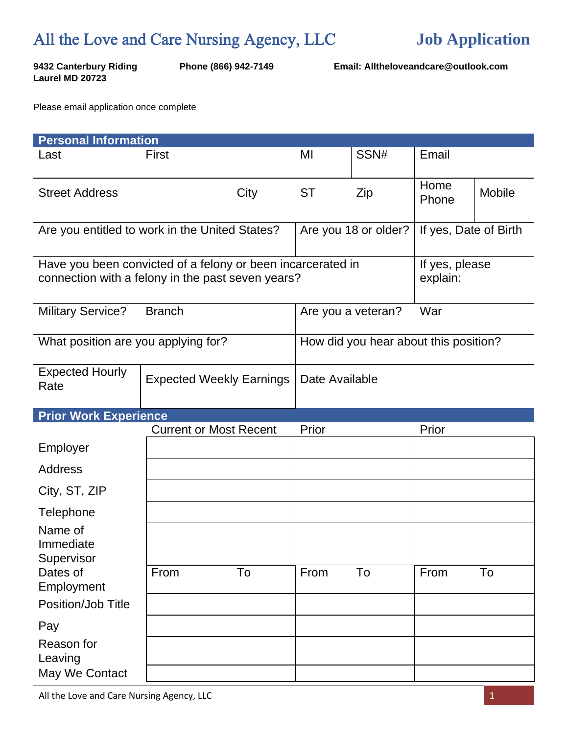## All the Love and Care Nursing Agency, LLC

**Laurel MD 20723**

**9432 Canterbury Riding Phone (866) 942-7149 Email: Alltheloveandcare@outlook.com**

Please email application once complete

| <b>Personal Information</b>                                                                                      |                                 |      |                                       |                      |                       |               |  |  |
|------------------------------------------------------------------------------------------------------------------|---------------------------------|------|---------------------------------------|----------------------|-----------------------|---------------|--|--|
| Last                                                                                                             | First                           |      | MI                                    | SSN#                 | Email                 |               |  |  |
| <b>Street Address</b>                                                                                            |                                 | City | <b>ST</b>                             | Zip                  | Home<br>Phone         | <b>Mobile</b> |  |  |
| Are you entitled to work in the United States?                                                                   |                                 |      |                                       | Are you 18 or older? | If yes, Date of Birth |               |  |  |
| Have you been convicted of a felony or been incarcerated in<br>connection with a felony in the past seven years? |                                 |      | If yes, please<br>explain:            |                      |                       |               |  |  |
| <b>Military Service?</b>                                                                                         | <b>Branch</b>                   |      | War<br>Are you a veteran?             |                      |                       |               |  |  |
| What position are you applying for?                                                                              |                                 |      | How did you hear about this position? |                      |                       |               |  |  |
| <b>Expected Hourly</b><br>Rate                                                                                   | <b>Expected Weekly Earnings</b> |      | Date Available                        |                      |                       |               |  |  |
| <b>Prior Work Experience</b>                                                                                     |                                 |      |                                       |                      |                       |               |  |  |
|                                                                                                                  | <b>Current or Most Recent</b>   |      | Prior                                 |                      | Prior                 |               |  |  |
| Employer                                                                                                         |                                 |      |                                       |                      |                       |               |  |  |
| <b>Address</b>                                                                                                   |                                 |      |                                       |                      |                       |               |  |  |
| City, ST, ZIP                                                                                                    |                                 |      |                                       |                      |                       |               |  |  |
| Telephone                                                                                                        |                                 |      |                                       |                      |                       |               |  |  |
| Name of<br>Immediate<br>Supervisor                                                                               |                                 |      |                                       |                      |                       |               |  |  |
| Dates of<br>Employment                                                                                           | From                            | To   | From                                  | To                   | From                  | To            |  |  |
| Position/Job Title                                                                                               |                                 |      |                                       |                      |                       |               |  |  |
| Pay                                                                                                              |                                 |      |                                       |                      |                       |               |  |  |
| Reason for<br>Leaving                                                                                            |                                 |      |                                       |                      |                       |               |  |  |
| May We Contact                                                                                                   |                                 |      |                                       |                      |                       |               |  |  |